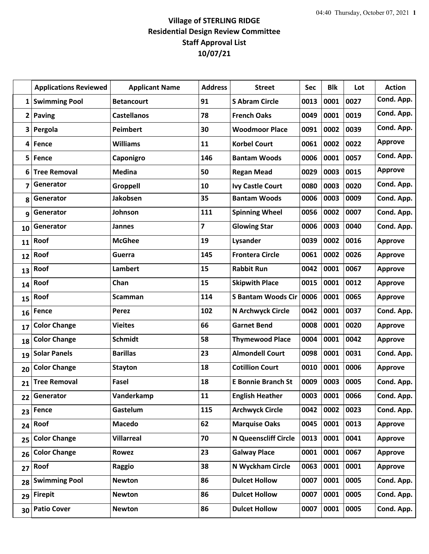## **Village of STERLING RIDGE Residential Design Review Committee Staff Approval List 10/07/21**

|                         | <b>Applications Reviewed</b> | <b>Applicant Name</b> | <b>Address</b>          | <b>Street</b>               | <b>Sec</b> | <b>Blk</b> | Lot  | <b>Action</b>  |
|-------------------------|------------------------------|-----------------------|-------------------------|-----------------------------|------------|------------|------|----------------|
| $1\vert$                | <b>Swimming Pool</b>         | <b>Betancourt</b>     | 91                      | <b>S Abram Circle</b>       | 0013       | 0001       | 0027 | Cond. App.     |
| $\overline{\mathbf{2}}$ | <b>Paving</b>                | <b>Castellanos</b>    | 78                      | <b>French Oaks</b>          | 0049       | 0001       | 0019 | Cond. App.     |
| 3                       | Pergola                      | <b>Peimbert</b>       | 30                      | <b>Woodmoor Place</b>       | 0091       | 0002       | 0039 | Cond. App.     |
| 4                       | Fence                        | <b>Williams</b>       | 11                      | <b>Korbel Court</b>         | 0061       | 0002       | 0022 | <b>Approve</b> |
| 5                       | Fence                        | Caponigro             | 146                     | <b>Bantam Woods</b>         | 0006       | 0001       | 0057 | Cond. App.     |
| 6                       | <b>Tree Removal</b>          | <b>Medina</b>         | 50                      | <b>Regan Mead</b>           | 0029       | 0003       | 0015 | <b>Approve</b> |
| 7                       | Generator                    | Groppell              | 10                      | <b>Ivy Castle Court</b>     | 0080       | 0003       | 0020 | Cond. App.     |
| 8                       | Generator                    | Jakobsen              | 35                      | <b>Bantam Woods</b>         | 0006       | 0003       | 0009 | Cond. App.     |
| 9                       | Generator                    | Johnson               | 111                     | <b>Spinning Wheel</b>       | 0056       | 0002       | 0007 | Cond. App.     |
| 10                      | Generator                    | <b>Jannes</b>         | $\overline{\mathbf{z}}$ | <b>Glowing Star</b>         | 0006       | 0003       | 0040 | Cond. App.     |
| 11                      | Roof                         | <b>McGhee</b>         | 19                      | Lysander                    | 0039       | 0002       | 0016 | Approve        |
| 12                      | Roof                         | Guerra                | 145                     | <b>Frontera Circle</b>      | 0061       | 0002       | 0026 | <b>Approve</b> |
| 13                      | Roof                         | <b>Lambert</b>        | 15                      | <b>Rabbit Run</b>           | 0042       | 0001       | 0067 | <b>Approve</b> |
| 14                      | Roof                         | Chan                  | 15                      | <b>Skipwith Place</b>       | 0015       | 0001       | 0012 | <b>Approve</b> |
| 15                      | Roof                         | <b>Scamman</b>        | 114                     | <b>S Bantam Woods Cir</b>   | 0006       | 0001       | 0065 | <b>Approve</b> |
| 16                      | Fence                        | Perez                 | 102                     | N Archwyck Circle           | 0042       | 0001       | 0037 | Cond. App.     |
| 17                      | <b>Color Change</b>          | <b>Vieites</b>        | 66                      | <b>Garnet Bend</b>          | 0008       | 0001       | 0020 | <b>Approve</b> |
| 18                      | <b>Color Change</b>          | <b>Schmidt</b>        | 58                      | <b>Thymewood Place</b>      | 0004       | 0001       | 0042 | <b>Approve</b> |
| 19                      | <b>Solar Panels</b>          | <b>Barillas</b>       | 23                      | <b>Almondell Court</b>      | 0098       | 0001       | 0031 | Cond. App.     |
| 20                      | <b>Color Change</b>          | <b>Stayton</b>        | 18                      | <b>Cotillion Court</b>      | 0010       | 0001       | 0006 | <b>Approve</b> |
| 21                      | <b>Tree Removal</b>          | Fasel                 | 18                      | <b>E Bonnie Branch St</b>   | 0009       | 0003       | 0005 | Cond. App.     |
| 22                      | Generator                    | Vanderkamp            | 11                      | <b>English Heather</b>      | 0003       | 0001       | 0066 | Cond. App.     |
| 23                      | Fence                        | Gastelum              | 115                     | <b>Archwyck Circle</b>      | 0042       | 0002       | 0023 | Cond. App.     |
| 24                      | Roof                         | <b>Macedo</b>         | 62                      | <b>Marquise Oaks</b>        | 0045       | 0001       | 0013 | <b>Approve</b> |
| 25                      | <b>Color Change</b>          | <b>Villarreal</b>     | 70                      | <b>N Queenscliff Circle</b> | 0013       | 0001       | 0041 | <b>Approve</b> |
| 26                      | <b>Color Change</b>          | Rowez                 | 23                      | <b>Galway Place</b>         | 0001       | 0001       | 0067 | <b>Approve</b> |
| 27                      | Roof                         | Raggio                | 38                      | N Wyckham Circle            | 0063       | 0001       | 0001 | <b>Approve</b> |
| 28                      | <b>Swimming Pool</b>         | <b>Newton</b>         | 86                      | <b>Dulcet Hollow</b>        | 0007       | 0001       | 0005 | Cond. App.     |
| 29                      | <b>Firepit</b>               | <b>Newton</b>         | 86                      | <b>Dulcet Hollow</b>        | 0007       | 0001       | 0005 | Cond. App.     |
| 30                      | <b>Patio Cover</b>           | <b>Newton</b>         | 86                      | <b>Dulcet Hollow</b>        | 0007       | 0001       | 0005 | Cond. App.     |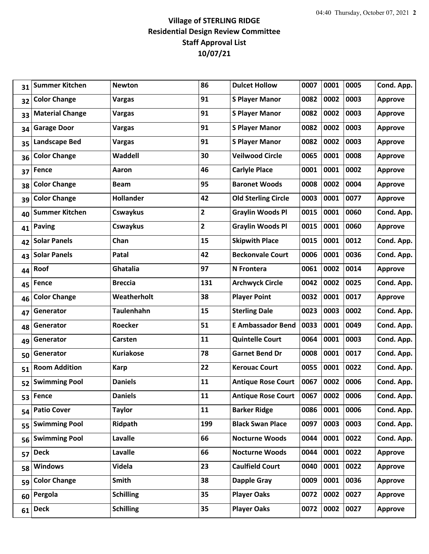## **Village of STERLING RIDGE Residential Design Review Committee Staff Approval List 10/07/21**

| <b>Summer Kitchen</b>      | <b>Newton</b>     | 86             | <b>Dulcet Hollow</b>       | 0007 | 0001 | 0005 | Cond. App.     |
|----------------------------|-------------------|----------------|----------------------------|------|------|------|----------------|
| <b>Color Change</b>        | <b>Vargas</b>     | 91             | <b>S Player Manor</b>      | 0082 | 0002 | 0003 | <b>Approve</b> |
| <b>Material Change</b>     | Vargas            | 91             | <b>S Player Manor</b>      | 0082 | 0002 | 0003 | <b>Approve</b> |
| <b>Garage Door</b>         | <b>Vargas</b>     | 91             | <b>S Player Manor</b>      | 0082 | 0002 | 0003 | <b>Approve</b> |
| <b>Landscape Bed</b>       | <b>Vargas</b>     | 91             | <b>S Player Manor</b>      | 0082 | 0002 | 0003 | <b>Approve</b> |
| <b>Color Change</b>        | Waddell           | 30             | <b>Veilwood Circle</b>     | 0065 | 0001 | 0008 | <b>Approve</b> |
| Fence                      | Aaron             | 46             | <b>Carlyle Place</b>       | 0001 | 0001 | 0002 | <b>Approve</b> |
| <b>Color Change</b>        | <b>Beam</b>       | 95             | <b>Baronet Woods</b>       | 0008 | 0002 | 0004 | <b>Approve</b> |
| <b>Color Change</b>        | <b>Hollander</b>  | 42             | <b>Old Sterling Circle</b> | 0003 | 0001 | 0077 | <b>Approve</b> |
| <b>Summer Kitchen</b>      | Cswaykus          | $\overline{2}$ | <b>Graylin Woods Pl</b>    | 0015 | 0001 | 0060 | Cond. App.     |
| <b>Paving</b>              | Cswaykus          | $\overline{2}$ | <b>Graylin Woods Pl</b>    | 0015 | 0001 | 0060 | <b>Approve</b> |
| <b>Solar Panels</b>        | Chan              | 15             | <b>Skipwith Place</b>      | 0015 | 0001 | 0012 | Cond. App.     |
| <b>Solar Panels</b>        | Patal             | 42             | <b>Beckonvale Court</b>    | 0006 | 0001 | 0036 | Cond. App.     |
| Roof                       | <b>Ghatalia</b>   | 97             | N Frontera                 | 0061 | 0002 | 0014 | <b>Approve</b> |
| Fence                      | <b>Breccia</b>    | 131            | <b>Archwyck Circle</b>     | 0042 | 0002 | 0025 | Cond. App.     |
| <b>Color Change</b>        | Weatherholt       | 38             | <b>Player Point</b>        | 0032 | 0001 | 0017 | <b>Approve</b> |
| Generator                  | <b>Taulenhahn</b> | 15             | <b>Sterling Dale</b>       | 0023 | 0003 | 0002 | Cond. App.     |
| Generator                  | Roecker           | 51             | <b>E Ambassador Bend</b>   | 0033 | 0001 | 0049 | Cond. App.     |
| Generator                  | Carsten           | 11             | <b>Quintelle Court</b>     | 0064 | 0001 | 0003 | Cond. App.     |
| Generator                  | <b>Kuriakose</b>  | 78             | <b>Garnet Bend Dr</b>      | 0008 | 0001 | 0017 | Cond. App.     |
| <b>Room Addition</b>       | <b>Karp</b>       | 22             | <b>Kerouac Court</b>       | 0055 | 0001 | 0022 | Cond. App.     |
| <b>Swimming Pool</b>       | <b>Daniels</b>    | 11             | <b>Antique Rose Court</b>  | 0067 | 0002 | 0006 | Cond. App.     |
| <b>Fence</b>               | <b>Daniels</b>    | 11             | <b>Antique Rose Court</b>  | 0067 | 0002 | 0006 | Cond. App.     |
| <b>Patio Cover</b>         | <b>Taylor</b>     | 11             | <b>Barker Ridge</b>        | 0086 | 0001 | 0006 | Cond. App.     |
| <b>Swimming Pool</b>       | Ridpath           | 199            | <b>Black Swan Place</b>    | 0097 | 0003 | 0003 | Cond. App.     |
| <b>Swimming Pool</b>       | Lavalle           | 66             | <b>Nocturne Woods</b>      | 0044 | 0001 | 0022 | Cond. App.     |
| <b>Deck</b>                | Lavalle           | 66             | <b>Nocturne Woods</b>      | 0044 | 0001 | 0022 | <b>Approve</b> |
| <b>Windows</b>             | Videla            | 23             | <b>Caulfield Court</b>     | 0040 | 0001 | 0022 | <b>Approve</b> |
| <b>Color Change</b>        | <b>Smith</b>      | 38             | <b>Dapple Gray</b>         | 0009 | 0001 | 0036 | <b>Approve</b> |
| Pergola                    | <b>Schilling</b>  | 35             | <b>Player Oaks</b>         | 0072 | 0002 | 0027 | <b>Approve</b> |
| <b>Deck</b>                | <b>Schilling</b>  | 35             | <b>Player Oaks</b>         | 0072 | 0002 | 0027 | <b>Approve</b> |
| 45<br>53<br>54<br>60<br>61 | 56<br>59          |                |                            |      |      |      |                |